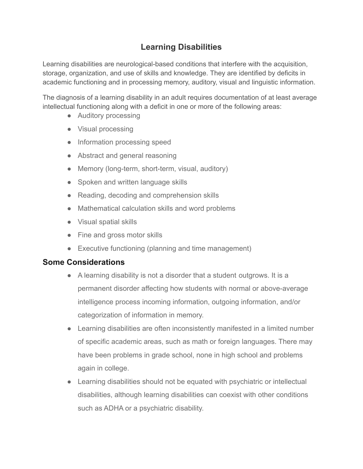## **Learning Disabilities**

Learning disabilities are neurological-based conditions that interfere with the acquisition, storage, organization, and use of skills and knowledge. They are identified by deficits in academic functioning and in processing memory, auditory, visual and linguistic information.

The diagnosis of a learning disability in an adult requires documentation of at least average intellectual functioning along with a deficit in one or more of the following areas:

- Auditory processing
- Visual processing
- Information processing speed
- Abstract and general reasoning
- Memory (long-term, short-term, visual, auditory)
- Spoken and written language skills
- Reading, decoding and comprehension skills
- Mathematical calculation skills and word problems
- Visual spatial skills
- Fine and gross motor skills
- Executive functioning (planning and time management)

## **Some Considerations**

- A learning disability is not a disorder that a student outgrows. It is a permanent disorder affecting how students with normal or above-average intelligence process incoming information, outgoing information, and/or categorization of information in memory.
- Learning disabilities are often inconsistently manifested in a limited number of specific academic areas, such as math or foreign languages. There may have been problems in grade school, none in high school and problems again in college.
- Learning disabilities should not be equated with psychiatric or intellectual disabilities, although learning disabilities can coexist with other conditions such as ADHA or a psychiatric disability.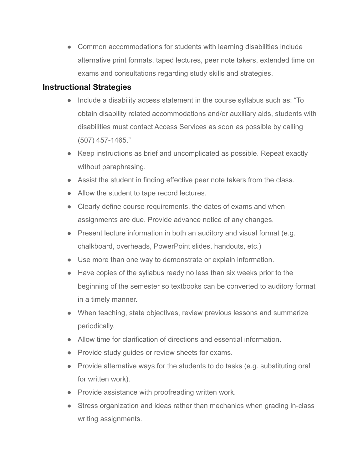● Common accommodations for students with learning disabilities include alternative print formats, taped lectures, peer note takers, extended time on exams and consultations regarding study skills and strategies.

## **Instructional Strategies**

- Include a disability access statement in the course syllabus such as: "To obtain disability related accommodations and/or auxiliary aids, students with disabilities must contact Access Services as soon as possible by calling (507) 457-1465."
- Keep instructions as brief and uncomplicated as possible. Repeat exactly without paraphrasing.
- Assist the student in finding effective peer note takers from the class.
- Allow the student to tape record lectures.
- Clearly define course requirements, the dates of exams and when assignments are due. Provide advance notice of any changes.
- Present lecture information in both an auditory and visual format (e.g. chalkboard, overheads, PowerPoint slides, handouts, etc.)
- Use more than one way to demonstrate or explain information.
- Have copies of the syllabus ready no less than six weeks prior to the beginning of the semester so textbooks can be converted to auditory format in a timely manner.
- When teaching, state objectives, review previous lessons and summarize periodically.
- Allow time for clarification of directions and essential information.
- Provide study quides or review sheets for exams.
- Provide alternative ways for the students to do tasks (e.g. substituting oral for written work).
- Provide assistance with proofreading written work.
- Stress organization and ideas rather than mechanics when grading in-class writing assignments.